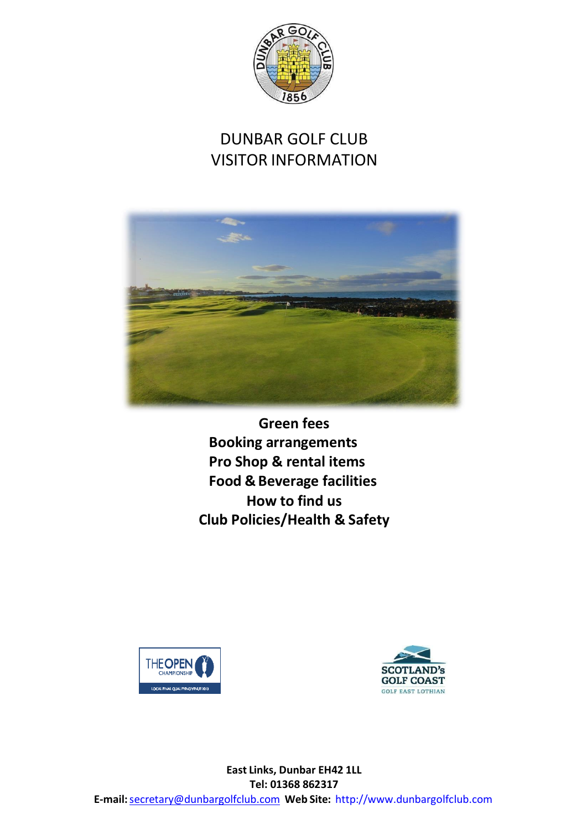

# DUNBAR GOLF CLUB VISITOR INFORMATION



**Green fees Booking arrangements Pro Shop & rental items Food & Beverage facilities How to find us Club Policies/Health & Safety**





**East Links, Dunbar EH42 1LL Tel: 01368 862317 E-mail:**[secretary@dunbargolfclub.com](mailto:secretary@dunbargolfclub.com) **Web Site:** [http://www.dunbargolfclub.com](http://www.dunbargolfclub.com/)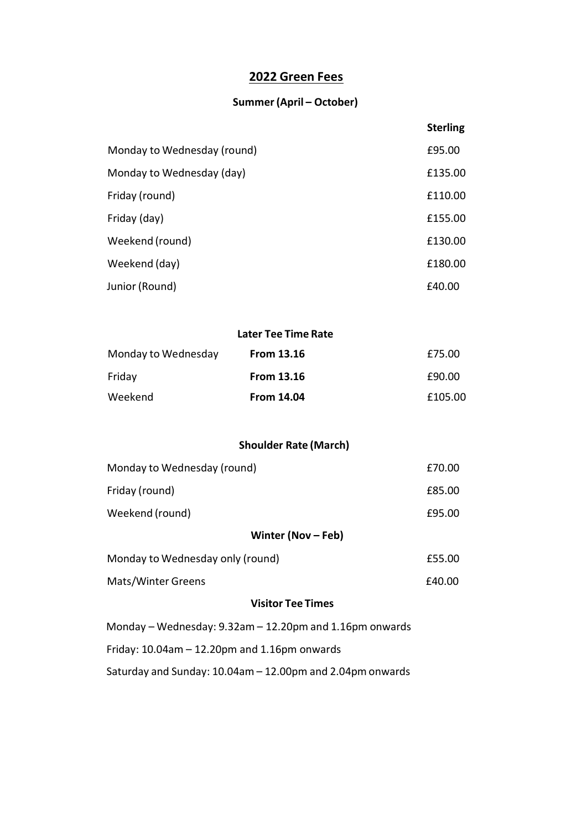## **2022 Green Fees**

#### **Summer(April – October)**

|                             | <b>Sterling</b> |
|-----------------------------|-----------------|
| Monday to Wednesday (round) | £95.00          |
| Monday to Wednesday (day)   | £135.00         |
| Friday (round)              | £110.00         |
| Friday (day)                | £155.00         |
| Weekend (round)             | £130.00         |
| Weekend (day)               | £180.00         |
| Junior (Round)              | £40.00          |

#### **Later Tee Time Rate**

| Monday to Wednesday | <b>From 13.16</b> | £75.00  |
|---------------------|-------------------|---------|
| Friday              | <b>From 13.16</b> | £90.00  |
| Weekend             | <b>From 14.04</b> | £105.00 |

#### **Shoulder Rate (March)**

| Monday to Wednesday (round)                                     | £70.00 |  |  |
|-----------------------------------------------------------------|--------|--|--|
| Friday (round)                                                  | £85.00 |  |  |
| Weekend (round)                                                 | £95.00 |  |  |
| Winter (Nov $-$ Feb)                                            |        |  |  |
| Monday to Wednesday only (round)                                | £55.00 |  |  |
| Mats/Winter Greens                                              | £40.00 |  |  |
| <b>Visitor Tee Times</b>                                        |        |  |  |
| Monday – Wednesday: 9.32am – 12.20pm and 1.16pm onwards         |        |  |  |
| Friday: $10.04$ am $- 12.20$ pm and $1.16$ pm onwards           |        |  |  |
| Saturday and Sunday: $10.04$ am $- 12.00$ pm and 2.04pm onwards |        |  |  |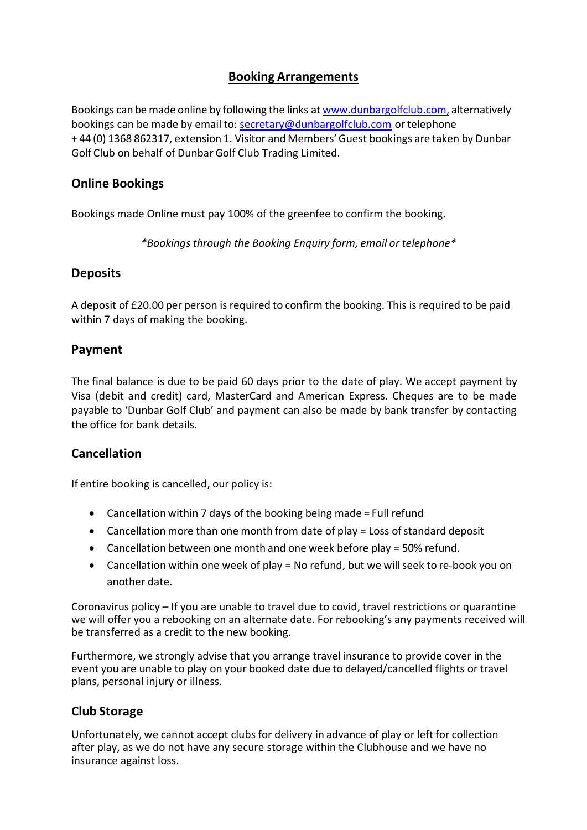## **Booking Arrangements**

Bookings can be made online by following the links at [www.dunbargolfclub.com,](http://www.dunbargolfclub.com/) alternatively bookings can be made by email to: [secretary@dunbargolfclub.com](mailto:secretary@dunbargolfclub.com) ortelephone + 44 (0) 1368 862317, extension 1. Visitor and Members'Guest bookings are taken by Dunbar Golf Club on behalf of DunbarGolf Club Trading Limited.

#### **Online Bookings**

Bookings made Online must pay 100% of the greenfee to confirm the booking.

*\*Bookings through the Booking Enquiry form, email or telephone\**

#### **Deposits**

A deposit of £20.00 per person is required to confirm the booking. This is required to be paid within 7 days of making the booking.

#### **Payment**

The final balance is due to be paid 60 days prior to the date of play. We accept payment by Visa (debit and credit) card, MasterCard and American Express. Cheques are to be made payable to 'Dunbar Golf Club' and payment can also be made by bank transfer by contacting the office for bank details.

#### **Cancellation**

If entire booking is cancelled, our policy is:

- Cancellation within 7 days of the booking being made = Full refund
- $\bullet$  Cancellation more than one month from date of play = Loss of standard deposit
- Cancellation between one month and one week before play = 50% refund.
- Cancellation within one week of play = No refund, but we will seek to re-book you on another date.

Coronavirus policy – If you are unable to travel due to covid, travel restrictions or quarantine we will offer you a rebooking on an alternate date. For rebooking's any payments received will be transferred as a credit to the new booking.

Furthermore, we strongly advise that you arrange travel insurance to provide cover in the event you are unable to play on your booked date due to delayed/cancelled flights or travel plans, personal injury or illness.

#### **Club Storage**

Unfortunately, we cannot accept clubs for delivery in advance of play or left for collection after play, as we do not have any secure storage within the Clubhouse and we have no insurance against loss.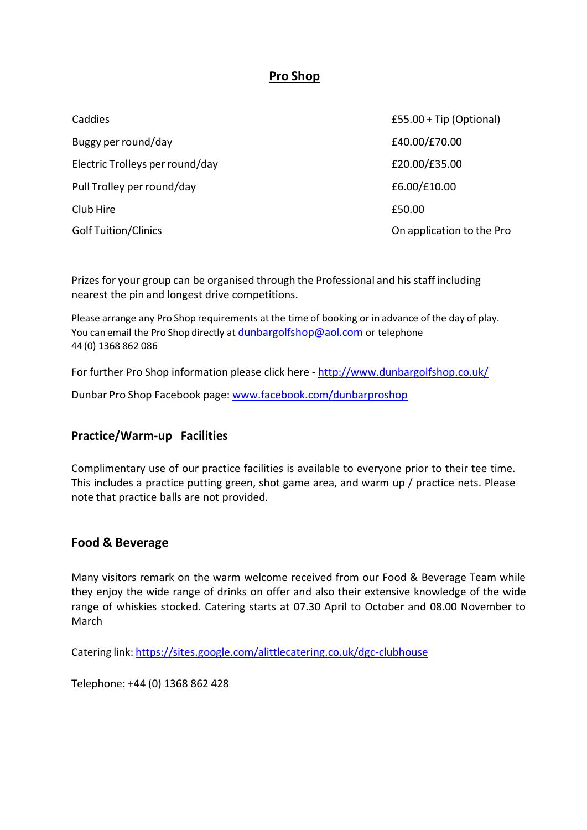## **Pro Shop**

| Caddies                         | $£55.00 + Tip (Optional)$ |
|---------------------------------|---------------------------|
| Buggy per round/day             | £40.00/£70.00             |
| Electric Trolleys per round/day | £20.00/£35.00             |
| Pull Trolley per round/day      | £6.00/£10.00              |
| Club Hire                       | £50.00                    |
| <b>Golf Tuition/Clinics</b>     | On application to the Pro |

Prizes for your group can be organised through the Professional and his staff including nearest the pin and longest drive competitions.

Please arrange any Pro Shop requirements at the time of booking or in advance of the day of play. You can email the Pro Shop directly at [dunbargolfshop@aol.com](mailto:dunbargolfshop@aol.com) or telephone 44 (0) 1368 862 086

For further Pro Shop information please click here - <http://www.dunbargolfshop.co.uk/>

Dunbar Pro Shop Facebook page: [www.facebook.com/dunbarproshop](http://www.facebook.com/dunbarproshop)

#### **Practice/Warm-up Facilities**

Complimentary use of our practice facilities is available to everyone prior to their tee time. This includes a practice putting green, shot game area, and warm up / practice nets. Please note that practice balls are not provided.

#### **Food & Beverage**

Many visitors remark on the warm welcome received from our Food & Beverage Team while they enjoy the wide range of drinks on offer and also their extensive knowledge of the wide range of whiskies stocked. Catering starts at 07.30 April to October and 08.00 November to March

Catering link: <https://sites.google.com/alittlecatering.co.uk/dgc-clubhouse>

Telephone: +44 (0) 1368 862 428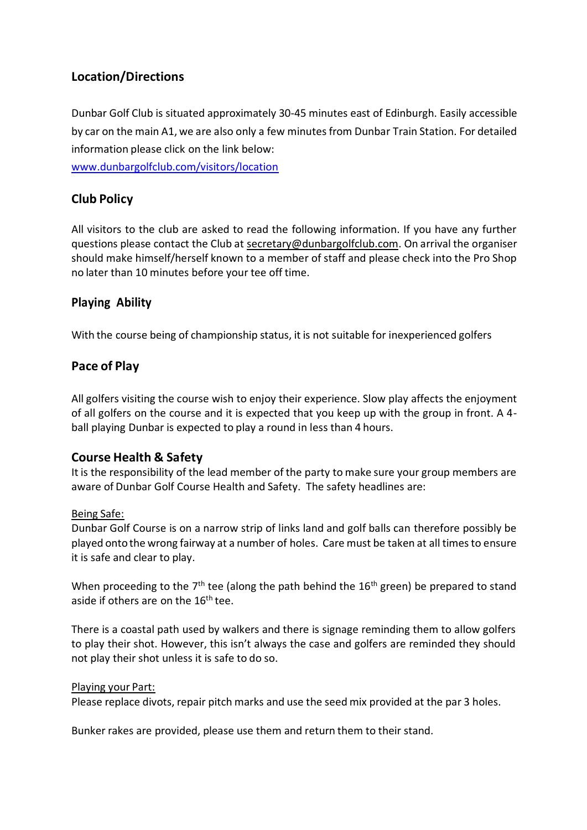## **Location/Directions**

Dunbar Golf Club is situated approximately 30-45 minutes east of Edinburgh. Easily accessible by car on the main A1, we are also only a few minutes from Dunbar Train Station. For detailed information please click on the link below:

[www.dunbargolfclub.com/visitors/location](http://www.dunbargolfclub.com/visitors/location)

#### **Club Policy**

All visitors to the club are asked to read the following information. If you have any further questions please contact the Club at [secretary@dunbargolfclub.com.](mailto:secretary@dunbargolfclub.com) On arrival the organiser should make himself/herself known to a member of staff and please check into the Pro Shop no later than 10 minutes before your tee off time.

#### **Playing Ability**

With the course being of championship status, it is not suitable for inexperienced golfers

#### **Pace of Play**

All golfers visiting the course wish to enjoy their experience. Slow play affects the enjoyment of all golfers on the course and it is expected that you keep up with the group in front. A 4 ball playing Dunbar is expected to play a round in less than 4 hours.

#### **Course Health & Safety**

It is the responsibility of the lead member of the party to make sure your group members are aware of Dunbar Golf Course Health and Safety. The safety headlines are:

#### Being Safe:

Dunbar Golf Course is on a narrow strip of links land and golf balls can therefore possibly be played onto the wrong fairway at a number of holes. Care must be taken at all timesto ensure it is safe and clear to play.

When proceeding to the  $7<sup>th</sup>$  tee (along the path behind the  $16<sup>th</sup>$  green) be prepared to stand aside if others are on the 16<sup>th</sup> tee.

There is a coastal path used by walkers and there is signage reminding them to allow golfers to play their shot. However, this isn't always the case and golfers are reminded they should not play their shot unless it is safe to do so.

#### Playing your Part:

Please replace divots, repair pitch marks and use the seed mix provided at the par 3 holes.

Bunker rakes are provided, please use them and return them to their stand.